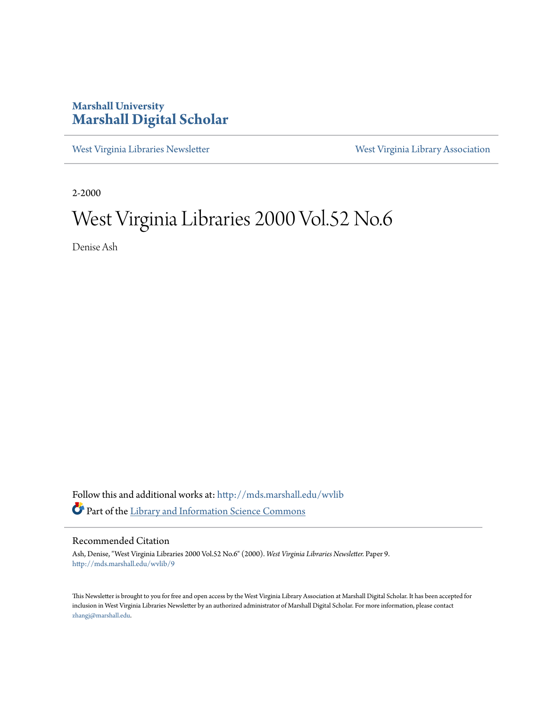#### **Marshall University [Marshall Digital Scholar](http://mds.marshall.edu?utm_source=mds.marshall.edu%2Fwvlib%2F9&utm_medium=PDF&utm_campaign=PDFCoverPages)**

[West Virginia Libraries Newsletter](http://mds.marshall.edu/wvlib?utm_source=mds.marshall.edu%2Fwvlib%2F9&utm_medium=PDF&utm_campaign=PDFCoverPages) [West Virginia Library Association](http://mds.marshall.edu/wvla?utm_source=mds.marshall.edu%2Fwvlib%2F9&utm_medium=PDF&utm_campaign=PDFCoverPages)

2-2000

## West Virginia Libraries 2000 Vol.52 No.6

Denise Ash

Follow this and additional works at: [http://mds.marshall.edu/wvlib](http://mds.marshall.edu/wvlib?utm_source=mds.marshall.edu%2Fwvlib%2F9&utm_medium=PDF&utm_campaign=PDFCoverPages) Part of the [Library and Information Science Commons](http://network.bepress.com/hgg/discipline/1018?utm_source=mds.marshall.edu%2Fwvlib%2F9&utm_medium=PDF&utm_campaign=PDFCoverPages)

#### Recommended Citation

Ash, Denise, "West Virginia Libraries 2000 Vol.52 No.6" (2000). *West Virginia Libraries Newsletter.* Paper 9. [http://mds.marshall.edu/wvlib/9](http://mds.marshall.edu/wvlib/9?utm_source=mds.marshall.edu%2Fwvlib%2F9&utm_medium=PDF&utm_campaign=PDFCoverPages)

This Newsletter is brought to you for free and open access by the West Virginia Library Association at Marshall Digital Scholar. It has been accepted for inclusion in West Virginia Libraries Newsletter by an authorized administrator of Marshall Digital Scholar. For more information, please contact [zhangj@marshall.edu.](mailto:zhangj@marshall.edu)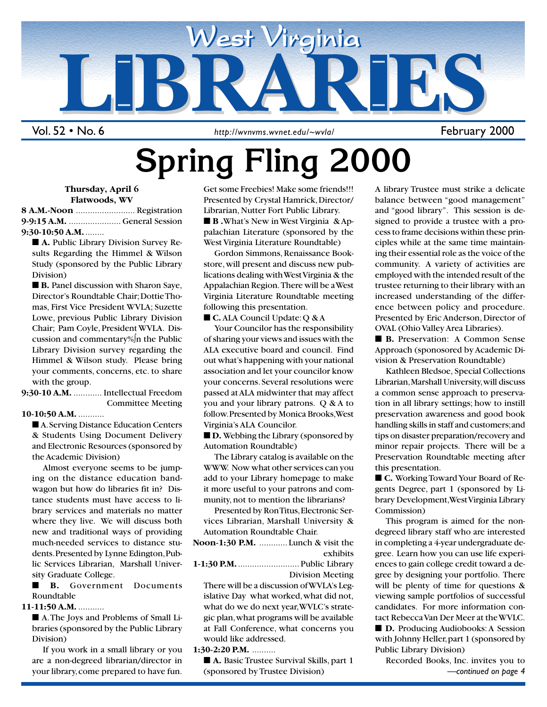

Vol. 52 • No. 6

http://wvnvms.wvnet.edu/~wvla/ February 2000

# **Spring Fling 2000**

#### **Thursday, April 6 Flatwoods, WV**

**8 A.M.-Noon** ......................... Registration **9-9:15 A.M.** ...................... General Session **9:30-10:50 A.M.**........

■ **A.** Public Library Division Survey Results Regarding the Himmel & Wilson Study (sponsored by the Public Library Division)

■ **B.** Panel discussion with Sharon Saye, Director's Roundtable Chair; Dottie Thomas, First Vice President WVLA; Suzette Lowe, previous Public Library Division Chair; Pam Coyle, President WVLA. Discussion and commentary%∫n the Public Library Division survey regarding the Himmel & Wilson study. Please bring your comments, concerns, etc. to share with the group.

**9:30-10 A.M.** ............ Intellectual Freedom Committee Meeting

#### **10-10:50 A.M.** ...........

■ A. Serving Distance Education Centers & Students Using Document Delivery and Electronic Resources (sponsored by the Academic Division)

Almost everyone seems to be jumping on the distance education bandwagon but how do libraries fit in? Distance students must have access to library services and materials no matter where they live. We will discuss both new and traditional ways of providing much-needed services to distance students. Presented by Lynne Edington, Public Services Librarian, Marshall University Graduate College.

■ **B.** Government Documents Roundtable

**11-11:50 A.M.** ...........

■ A. The Joys and Problems of Small Libraries (sponsored by the Public Library Division)

If you work in a small library or you are a non-degreed librarian/director in your library, come prepared to have fun.

Get some Freebies! Make some friends!!! Presented by Crystal Hamrick, Director/ Librarian, Nutter Fort Public Library. ■ **B** .What's New in West Virginia & Appalachian Literature (sponsored by the West Virginia Literature Roundtable)

Gordon Simmons, Renaissance Bookstore, will present and discuss new publications dealing with West Virginia & the Appalachian Region. There will be a West Virginia Literature Roundtable meeting following this presentation.

■ **C.** ALA Council Update: Q & A

Your Councilor has the responsibility of sharing your views and issues with the ALA executive board and council. Find out what's happening with your national association and let your councilor know your concerns. Several resolutions were passed at ALA midwinter that may affect you and your library patrons. Q & A to follow. Presented by Monica Brooks, West Virginia's ALA Councilor.

■ **D.** Webbing the Library (sponsored by Automation Roundtable)

The Library catalog is available on the WWW. Now what other services can you add to your Library homepage to make it more useful to your patrons and community, not to mention the librarians?

Presented by Ron Titus, Electronic Services Librarian, Marshall University & Automation Roundtable Chair.

| <b>Noon-1:30 P.M.</b> Lunch & visit the |        |          |
|-----------------------------------------|--------|----------|
|                                         |        | exhibits |
| - - - - - - -                           | ------ |          |

**1-1:30 P.M.**.......................... Public Library Division Meeting

There will be a discussion of WVLA's Legislative Day what worked, what did not, what do we do next year, WVLC's strategic plan, what programs will be available at Fall Conference, what concerns you would like addressed.

#### **1:30-2:20 P.M.** ..........

■ **A.** Basic Trustee Survival Skills, part 1 (sponsored by Trustee Division)

A library Trustee must strike a delicate balance between "good management" and "good library". This session is designed to provide a trustee with a process to frame decisions within these principles while at the same time maintaining their essential role as the voice of the community. A variety of activities are employed with the intended result of the trustee returning to their library with an increased understanding of the difference between policy and procedure. Presented by Eric Anderson, Director of OVAL (Ohio Valley Area Libraries).

■ **B.** Preservation: A Common Sense Approach (sponosored by Academic Division & Preservation Roundtable)

Kathleen Bledsoe, Special Collections Librarian, Marshall University, will discuss a common sense approach to preservation in all library settings; how to instill preservation awareness and good book handling skills in staff and customers; and tips on disaster preparation/recovery and minor repair projects. There will be a Preservation Roundtable meeting after this presentation.

■ **C.** Working Toward Your Board of Regents Degree, part 1 (sponsored by Library Development, West Virginia Library Commission)

This program is aimed for the nondegreed library staff who are interested in completing a 4-year undergraduate degree. Learn how you can use life experiences to gain college credit toward a degree by designing your portfolio. There will be plenty of time for questions  $\&$ viewing sample portfolios of successful candidates. For more information contact Rebecca Van Der Meer at the WVLC. ■ **D.** Producing Audiobooks: A Session

with Johnny Heller, part 1 (sponsored by Public Library Division)

1 February 2000 – 2000 – 2000 – 2000 – 2000 – 2000 – 2000 – 2000 – 2000 – 2000 – 2000 – 2000 – 2000 – 2000 – 2<br>2000 – 2000 – 2000 – 2000 – 2000 – 2000 – 2000 – 2000 – 2000 – 2000 – 2000 – 2000 – 2000 – 2000 – 2000 – 2000 Recorded Books, Inc. invites you to *—continued on page 4*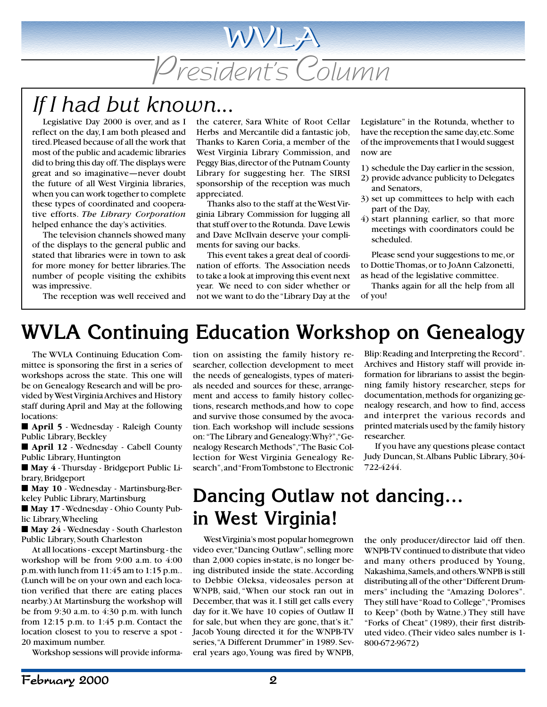President's Column

WVLA

## *If I had but known...*

Legislative Day 2000 is over, and as I reflect on the day, I am both pleased and tired. Pleased because of all the work that most of the public and academic libraries did to bring this day off. The displays were great and so imaginative—never doubt the future of all West Virginia libraries, when you can work together to complete these types of coordinated and cooperative efforts. *The Library Corporation* helped enhance the day's activities.

The television channels showed many of the displays to the general public and stated that libraries were in town to ask for more money for better libraries. The number of people visiting the exhibits was impressive.

The reception was well received and

the caterer, Sara White of Root Cellar Herbs and Mercantile did a fantastic job, Thanks to Karen Coria, a member of the West Virginia Library Commission, and Peggy Bias, director of the Putnam County Library for suggesting her. The SIRSI sponsorship of the reception was much appreciated.

Thanks also to the staff at the West Virginia Library Commission for lugging all that stuff over to the Rotunda. Dave Lewis and Dave McIlvain deserve your compliments for saving our backs.

This event takes a great deal of coordination of efforts. The Association needs to take a look at improving this event next year. We need to con sider whether or not we want to do the "Library Day at the Legislature" in the Rotunda, whether to have the reception the same day, etc. Some of the improvements that I would suggest now are

- 1) schedule the Day earlier in the session,
- 2) provide advance publicity to Delegates and Senators,
- 3) set up committees to help with each part of the Day,
- 4) start planning earlier, so that more meetings with coordinators could be scheduled.

Please send your suggestions to me, or to Dottie Thomas, or to JoAnn Calzonetti, as head of the legislative committee.

Thanks again for all the help from all of you!

## **WVLA Continuing Education Workshop on Genealogy**

The WVLA Continuing Education Committee is sponsoring the first in a series of workshops across the state. This one will be on Genealogy Research and will be provided by West Virginia Archives and History staff during April and May at the following locations:

■ **April 5** - Wednesday - Raleigh County Public Library, Beckley

■ **April 12** - Wednesday - Cabell County Public Library, Huntington

■ **May 4** - Thursday - Bridgeport Public Library, Bridgeport

■ **May 10** - Wednesday - Martinsburg-Berkeley Public Library, Martinsburg

■ **May 17** - Wednesday - Ohio County Public Library, Wheeling

■ May 24 - Wednesday - South Charleston Public Library, South Charleston

At all locations - except Martinsburg - the workshop will be from 9:00 a.m. to 4:00 p.m. with lunch from 11:45 am to 1:15 p.m.. (Lunch will be on your own and each location verified that there are eating places nearby.) At Martinsburg the workshop will be from 9:30 a.m. to 4:30 p.m. with lunch from 12:15 p.m. to 1:45 p.m. Contact the location closest to you to reserve a spot - 20 maximum number.

Workshop sessions will provide informa-

tion on assisting the family history researcher, collection development to meet the needs of genealogists, types of materials needed and sources for these, arrangement and access to family history collections, research methods,and how to cope and survive those consumed by the avocation. Each workshop will include sessions on: "The Library and Genealogy: Why?", "Genealogy Research Methods", "The Basic Collection for West Virginia Genealogy Research", and "From Tombstone to Electronic

Blip: Reading and Interpreting the Record". Archives and History staff will provide information for librarians to assist the beginning family history researcher, steps for documentation, methods for organizing genealogy research, and how to find, access and interpret the various records and printed materials used by the family history researcher.

If you have any questions please contact Judy Duncan, St. Albans Public Library, 304- 722-4244.

## **Dancing Outlaw not dancing… in West Virginia!**

West Virginia's most popular homegrown video ever, "Dancing Outlaw", selling more than 2,000 copies in-state, is no longer being distributed inside the state. According to Debbie Oleksa, videosales person at WNPB, said, "When our stock ran out in December, that was it. I still get calls every day for it. We have 10 copies of Outlaw II for sale, but when they are gone, that's it." Jacob Young directed it for the WNPB-TV series, "A Different Drummer" in 1989. Several years ago, Young was fired by WNPB,

the only producer/director laid off then. WNPB-TV continued to distribute that video and many others produced by Young, Nakashima, Samels, and others. WNPB is still distributing all of the other "Different Drummers" including the "Amazing Dolores". They still have "Road to College", "Promises to Keep" (both by Watne.) They still have "Forks of Cheat" (1989), their first distributed video. (Their video sales number is 1- 800-672-9672)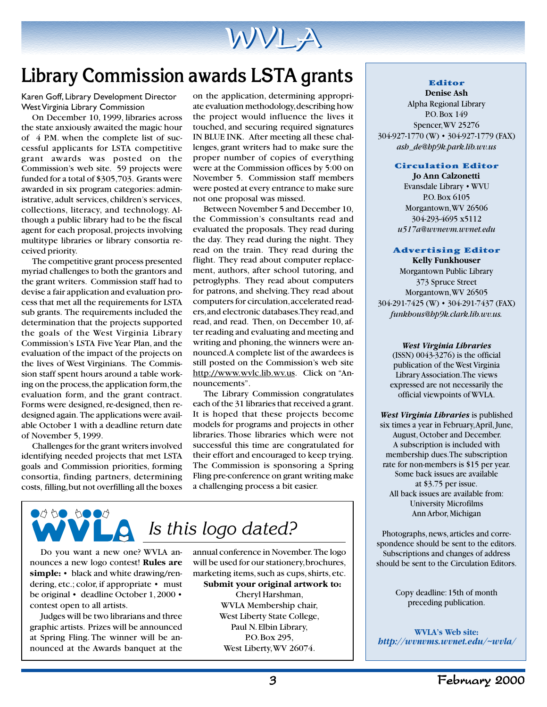

## **Library Commission awards LSTA grants**

Karen Goff, Library Development Director West Virginia Library Commission

On December 10, 1999, libraries across the state anxiously awaited the magic hour of 4 P.M. when the complete list of successful applicants for LSTA competitive grant awards was posted on the Commission's web site. 59 projects were funded for a total of \$305,703. Grants were awarded in six program categories: administrative, adult services, children's services, collections, literacy, and technology. Although a public library had to be the fiscal agent for each proposal, projects involving multitype libraries or library consortia received priority.

The competitive grant process presented myriad challenges to both the grantors and the grant writers. Commission staff had to devise a fair application and evaluation process that met all the requirements for LSTA sub grants. The requirements included the determination that the projects supported the goals of the West Virginia Library Commission's LSTA Five Year Plan, and the evaluation of the impact of the projects on the lives of West Virginians. The Commission staff spent hours around a table working on the process, the application form, the evaluation form, and the grant contract. Forms were designed, re-designed, then redesigned again. The applications were available October 1 with a deadline return date of November 5, 1999.

Challenges for the grant writers involved identifying needed projects that met LSTA goals and Commission priorities, forming consortia, finding partners, determining costs, filling, but not overfilling all the boxes

on the application, determining appropriate evaluation methodology, describing how the project would influence the lives it touched, and securing required signatures IN BLUE INK. After meeting all these challenges, grant writers had to make sure the proper number of copies of everything were at the Commission offices by 5:00 on November 5. Commission staff members were posted at every entrance to make sure not one proposal was missed.

Between November 5 and December 10, the Commission's consultants read and evaluated the proposals. They read during the day. They read during the night. They read on the train. They read during the flight. They read about computer replacement, authors, after school tutoring, and petroglyphs. They read about computers for patrons, and shelving. They read about computers for circulation, accelerated readers, and electronic databases. They read, and read, and read. Then, on December 10, after reading and evaluating and meeting and writing and phoning, the winners were announced. A complete list of the awardees is still posted on the Commission's web site http://www.wvlc.lib.wv.us. Click on "Announcements".

The Library Commission congratulates each of the 31 libraries that received a grant. It is hoped that these projects become models for programs and projects in other libraries. Those libraries which were not successful this time are congratulated for their effort and encouraged to keep trying. The Commission is sponsoring a Spring Fling pre-conference on grant writing make a challenging process a bit easier.



Do you want a new one? WVLA announces a new logo contest! **Rules are simple:** • black and white drawing/rendering, etc.; color, if appropriate • must be original • deadline October 1, 2000 • contest open to all artists.

Judges will be two librarians and three graphic artists. Prizes will be announced at Spring Fling. The winner will be announced at the Awards banquet at the annual conference in November. The logo will be used for our stationery, brochures, marketing items, such as cups, shirts, etc.

**Submit your original artwork to:** Cheryl Harshman, WVLA Membership chair, West Liberty State College, Paul N. Elbin Library, P.O. Box 295, West Liberty, WV 26074.

#### **Editor Denise Ash**

Alpha Regional Library P.O. Box 149 Spencer, WV 25276 304-927-1770 (W) • 304-927-1779 (FAX) *ash de@hp9k.park.lib.wv.us*

#### **Circulation Editor**

**Jo Ann Calzonetti** Evansdale Library • WVU P.O. Box 6105 Morgantown, WV 26506 304-293-4695 x5112 *u517a@wvnevm.wvnet.edu*

#### **Advertising Editor Kelly Funkhouser**

Morgantown Public Library 373 Spruce Street Morgantown, WV 26505 304-291-7425 (W) • 304-291-7437 (FAX) *funkhous@hp9k.clark.lib.wv.us.*

*West Virginia Libraries*

(ISSN) 0043-3276) is the official publication of the West Virginia Library Association. The views expressed are not necessarily the official viewpoints of WVLA.

*West Virginia Libraries* is published six times a year in February, April, June, August, October and December. A subscription is included with membership dues. The subscription rate for non-members is \$15 per year. Some back issues are available at \$3.75 per issue. All back issues are available from: University Microfilms Ann Arbor, Michigan

Photographs, news, articles and correspondence should be sent to the editors. Subscriptions and changes of address should be sent to the Circulation Editors.

> Copy deadline: 15th of month preceding publication.

**WVLA's Web site:** *http://wvnvms.wvnet.edu/~wvla/*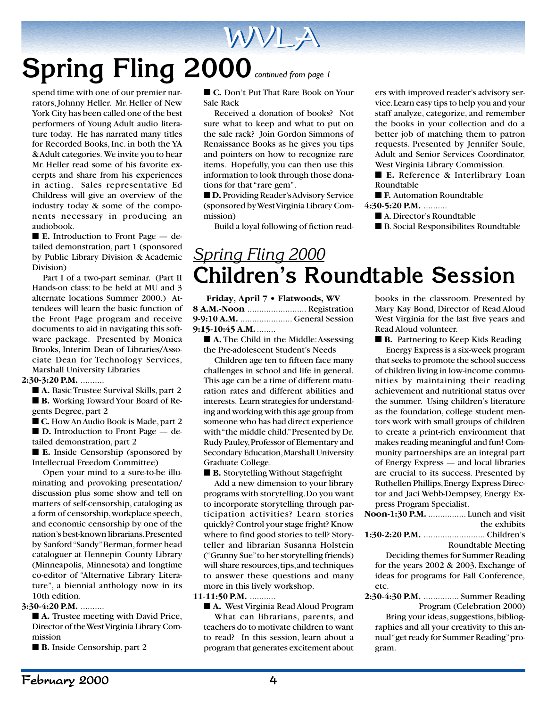# Spring Fling 2000 *continued from page 1*

spend time with one of our premier narrators, Johnny Heller. Mr. Heller of New York City has been called one of the best performers of Young Adult audio literature today. He has narrated many titles for Recorded Books, Inc. in both the YA & Adult categories. We invite you to hear Mr. Heller read some of his favorite excerpts and share from his experiences in acting. Sales representative Ed Childress will give an overview of the industry today & some of the components necessary in producing an audiobook.

■ **E.** Introduction to Front Page — detailed demonstration, part 1 (sponsored by Public Library Division & Academic Division)

Part I of a two-part seminar. (Part II Hands-on class: to be held at MU and 3 alternate locations Summer 2000.) Attendees will learn the basic function of the Front Page program and receive documents to aid in navigating this software package. Presented by Monica Brooks, Interim Dean of Libraries/Associate Dean for Technology Services, Marshall University Libraries

#### **2:30-3:20 P.M.** ..........

■ **A.** Basic Trustee Survival Skills, part 2 ■ **B.** Working Toward Your Board of Regents Degree, part 2

■ **C.** How An Audio Book is Made, part 2 ■ **D.** Introduction to Front Page — detailed demonstration, part 2

■ **E.** Inside Censorship (sponsored by Intellectual Freedom Committee)

Open your mind to a sure-to-be illuminating and provoking presentation/ discussion plus some show and tell on matters of self-censorship, cataloging as a form of censorship, workplace speech, and economic censorship by one of the nation's best-known librarians. Presented by Sanford "Sandy" Berman, former head cataloguer at Hennepin County Library (Minneapolis, Minnesota) and longtime co-editor of "Alternative Library Literature", a biennial anthology now in its 10th edition.

#### **3:30-4:20 P.M.** ..........

■ **A.** Trustee meeting with David Price, Director of the West Virginia Library Commission

■ **B.** Inside Censorship, part 2

■ **C.** Don't Put That Rare Book on Your Sale Rack

WVLA

Received a donation of books? Not sure what to keep and what to put on the sale rack? Join Gordon Simmons of Renaissance Books as he gives you tips and pointers on how to recognize rare items. Hopefully, you can then use this information to look through those donations for that "rare gem".

■ **D.** Providing Reader's Advisory Service (sponsored by West Virginia Library Commission)

Build a loyal following of fiction read-

ers with improved reader's advisory service. Learn easy tips to help you and your staff analyze, categorize, and remember the books in your collection and do a better job of matching them to patron requests. Presented by Jennifer Soule, Adult and Senior Services Coordinator, West Virginia Library Commission.

■ **E.** Reference & Interlibrary Loan Roundtable

■ **F.** Automation Roundtable

- **4:30-5:20 P.M.** ..........
	- A. Director's Roundtable
	- B. Social Responsibilites Roundtable

## *Spring Fling 2000* **Children's Roundtable Session**

**Friday, April 7 • Flatwoods, WV 8 A.M.-Noon** ......................... Registration **9-9:10 A.M.** ...................... General Session **9:15-10:45 A.M.**........

■ **A.** The Child in the Middle: Assessing the Pre-adolescent Student's Needs

Children age ten to fifteen face many challenges in school and life in general. This age can be a time of different maturation rates and different abilities and interests. Learn strategies for understanding and working with this age group from someone who has had direct experience with "the middle child." Presented by Dr. Rudy Pauley, Professor of Elementary and Secondary Education, Marshall University Graduate College.

■ **B.** Storytelling Without Stagefright

Add a new dimension to your library programs with storytelling. Do you want to incorporate storytelling through participation activities? Learn stories quickly? Control your stage fright? Know where to find good stories to tell? Storyteller and librarian Susanna Holstein ("Granny Sue" to her storytelling friends) will share resources, tips, and techniques to answer these questions and many more in this lively workshop.

#### **11-11:50 P.M.** ...........

■ **A.** West Virginia Read Aloud Program What can librarians, parents, and teachers do to motivate children to want to read? In this session, learn about a program that generates excitement about

books in the classroom. Presented by Mary Kay Bond, Director of Read Aloud West Virginia for the last five years and Read Aloud volunteer.

■ **B.** Partnering to Keep Kids Reading

Energy Express is a six-week program that seeks to promote the school success of children living in low-income communities by maintaining their reading achievement and nutritional status over the summer. Using children's literature as the foundation, college student mentors work with small groups of children to create a print-rich environment that makes reading meaningful and fun! Community partnerships are an integral part of Energy Express — and local libraries are crucial to its success. Presented by Ruthellen Phillips, Energy Express Director and Jaci Webb-Dempsey, Energy Express Program Specialist.

|      | Noon-1:30 P.M.  Lunch and visit            |
|------|--------------------------------------------|
|      | the exhibits                               |
|      |                                            |
|      | Roundtable Meeting                         |
|      | Deciding themes for Summer Reading         |
|      | for the years $2002 \& 2003$ , Exchange of |
|      | ideas for programs for Fall Conference,    |
| etc. |                                            |
|      | 2:30-4:30 P.M.  Summer Reading             |
|      | Program (Celebration 2000)                 |
|      | Bring your ideas, suggestions, bibliog-    |
|      |                                            |

raphies and all your creativity to this annual "get ready for Summer Reading" program.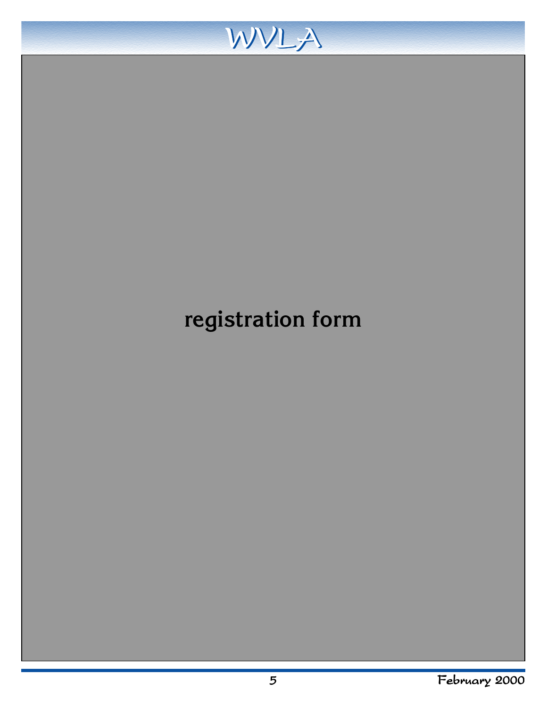

## **registration form**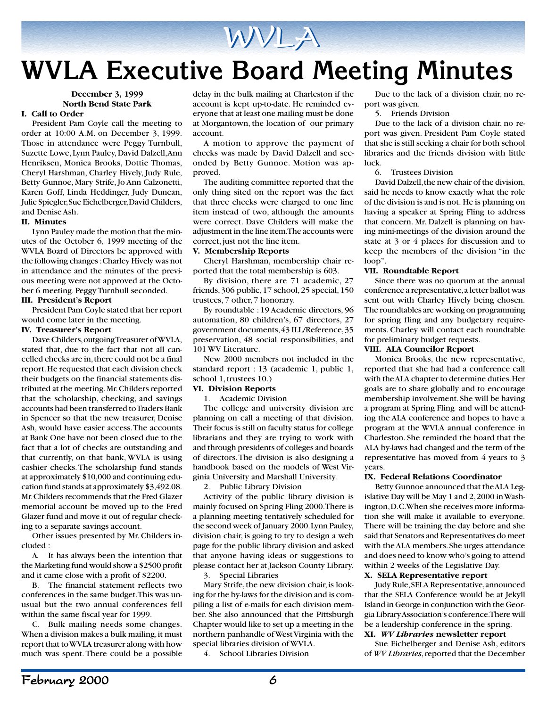

## **WVLA Executive Board Meeting Minutes**

#### **December 3, 1999 North Bend State Park**

#### **I. Call to Order**

President Pam Coyle call the meeting to order at 10:00 A.M. on December 3, 1999. Those in attendance were Peggy Turnbull, Suzette Lowe, Lynn Pauley, David Dalzell, Ann Henriksen, Monica Brooks, Dottie Thomas, Cheryl Harshman, Charley Hively, Judy Rule, Betty Gunnoe, Mary Strife, Jo Ann Calzonetti, Karen Goff, Linda Heddinger, Judy Duncan, Julie Spiegler, Sue Eichelberger, David Childers, and Denise Ash.

#### **II. Minutes**

Lynn Pauley made the motion that the minutes of the October 6, 1999 meeting of the WVLA Board of Directors be approved with the following changes : Charley Hively was not in attendance and the minutes of the previous meeting were not approved at the October 6 meeting. Peggy Turnbull seconded.

#### **III. President's Report**

President Pam Coyle stated that her report would come later in the meeting.

#### **IV. Treasurer's Report**

Dave Childers, outgoing Treasurer of WVLA, stated that, due to the fact that not all cancelled checks are in, there could not be a final report. He requested that each division check their budgets on the financial statements distributed at the meeting. Mr. Childers reported that the scholarship, checking, and savings accounts had been transferred to Traders Bank in Spencer so that the new treasurer, Denise Ash, would have easier access. The accounts at Bank One have not been closed due to the fact that a lot of checks are outstanding and that currently, on that bank, WVLA is using cashier checks. The scholarship fund stands at approximately \$10,000 and continuing education fund stands at approximately \$3,492.08. Mr. Childers recommends that the Fred Glazer memorial account be moved up to the Fred Glazer fund and move it out of regular checking to a separate savings account.

Other issues presented by Mr. Childers included :

A. It has always been the intention that the Marketing fund would show a \$2500 profit and it came close with a profit of \$2200.

The financial statement reflects two conferences in the same budget. This was unusual but the two annual conferences fell within the same fiscal year for 1999.

C. Bulk mailing needs some changes. When a division makes a bulk mailing, it must report that to WVLA treasurer along with how much was spent. There could be a possible delay in the bulk mailing at Charleston if the account is kept up-to-date. He reminded everyone that at least one mailing must be done at Morgantown, the location of our primary account.

A motion to approve the payment of checks was made by David Dalzell and seconded by Betty Gunnoe. Motion was approved.

The auditing committee reported that the only thing sited on the report was the fact that three checks were charged to one line item instead of two, although the amounts were correct. Dave Childers will make the adjustment in the line item. The accounts were correct, just not the line item.

#### **V. Membership Reports**

Cheryl Harshman, membership chair reported that the total membership is 603.

By division, there are 71 academic, 27 friends, 306 public, 17 school, 25 special, 150 trustees, 7 other, 7 honorary.

By roundtable : 19 Academic directors, 96 automation, 80 children's, 67 directors, 27 government documents, 43 ILL/Reference, 35 preservation, 48 social responsibilities, and 101 WV Literature.

New 2000 members not included in the standard report : 13 (academic 1, public 1, school 1, trustees 10.)

#### **VI. Division Reports**

1. Academic Division

The college and university division are planning on call a meeting of that division. Their focus is still on faculty status for college librarians and they are trying to work with and through presidents of colleges and boards of directors. The division is also designing a handbook based on the models of West Virginia University and Marshall University.

2. Public Library Division

Activity of the public library division is mainly focused on Spring Fling 2000. There is a planning meeting tentatively scheduled for the second week of January 2000. Lynn Pauley, division chair, is going to try to design a web page for the public library division and asked that anyone having ideas or suggestions to please contact her at Jackson County Library.

#### 3. Special Libraries

Mary Strife, the new division chair, is looking for the by-laws for the division and is compiling a list of e-mails for each division member. She also announced that the Pittsburgh Chapter would like to set up a meeting in the northern panhandle of West Virginia with the special libraries division of WVLA.

4. School Libraries Division

Due to the lack of a division chair, no report was given.

5. Friends Division

Due to the lack of a division chair, no report was given. President Pam Coyle stated that she is still seeking a chair for both school libraries and the friends division with little luck.

6. Trustees Division

David Dalzell, the new chair of the division, said he needs to know exactly what the role of the division is and is not. He is planning on having a speaker at Spring Fling to address that concern. Mr. Dalzell is planning on having mini-meetings of the division around the state at 3 or 4 places for discussion and to keep the members of the division "in the loop".

#### **VII. Roundtable Report**

Since there was no quorum at the annual conference a representative, a letter ballot was sent out with Charley Hively being chosen. The roundtables are working on programming for spring fling and any budgetary requirements. Charley will contact each roundtable for preliminary budget requests.

#### **VIII. ALA Councilor Report**

Monica Brooks, the new representative, reported that she had had a conference call with the ALA chapter to determine duties. Her goals are to share globally and to encourage membership involvement. She will be having a program at Spring Fling and will be attending the ALA conference and hopes to have a program at the WVLA annual conference in Charleston. She reminded the board that the ALA by-laws had changed and the term of the representative has moved from 4 years to 3 years.

#### **IX. Federal Relations Coordinator**

Betty Gunnoe announced that the ALA Legislative Day will be May 1 and 2, 2000 in Washington, D.C. When she receives more information she will make it available to everyone. There will be training the day before and she said that Senators and Representatives do meet with the ALA members. She urges attendance and does need to know who's going to attend within 2 weeks of the Legislative Day.

#### **X. SELA Representative report**

Judy Rule, SELA Representative, announced that the SELA Conference would be at Jekyll Island in George in conjunction with the Georgia Library Association's conference. There will be a leadership conference in the spring.

#### **XI.** *WV Libraries* **newsletter report**

Sue Eichelberger and Denise Ash, editors of *WV Libraries*, reported that the December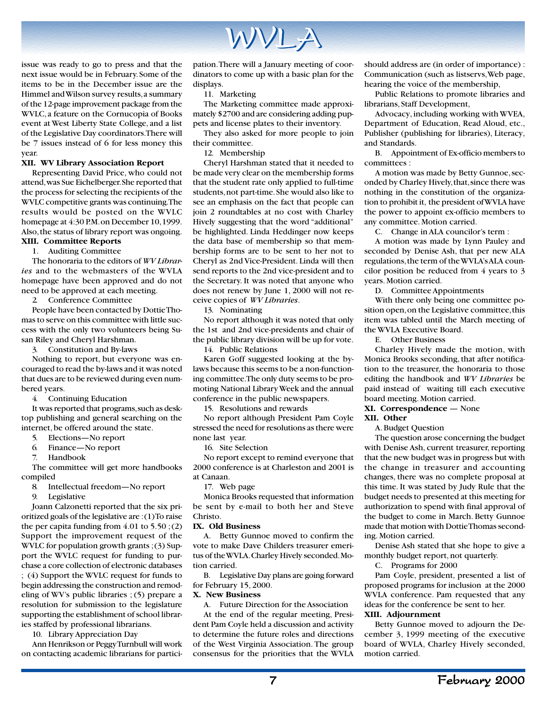

issue was ready to go to press and that the next issue would be in February. Some of the items to be in the December issue are the Himmel and Wilson survey results, a summary of the 12-page improvement package from the WVLC, a feature on the Cornucopia of Books event at West Liberty State College, and a list of the Legislative Day coordinators. There will be 7 issues instead of 6 for less money this year.

#### **XII. WV Library Association Report**

Representing David Price, who could not attend, was Sue Eichelberger. She reported that the process for selecting the recipients of the WVLC competitive grants was continuing. The results would be posted on the WVLC homepage at 4:30 P.M. on December 10, 1999. Also, the status of library report was ongoing.

#### **XIII. Committee Reports** 1. Auditing Committee

The honoraria to the editors of *WV Libraries* and to the webmasters of the WVLA homepage have been approved and do not need to be approved at each meeting.

2. Conference Committee

People have been contacted by Dottie Thomas to serve on this committee with little success with the only two volunteers being Susan Riley and Cheryl Harshman.

3. Constitution and By-laws

Nothing to report, but everyone was encouraged to read the by-laws and it was noted that dues are to be reviewed during even numbered years.

4. Continuing Education

It was reported that programs, such as desktop publishing and general searching on the internet, be offered around the state.

- 5. Elections—No report<br>6. Finance—No report
- Finance—No report
- 7. Handbook

The committee will get more handbooks compiled

- 8. Intellectual freedom—No report
- 9. Legislative

Joann Calzonetti reported that the six prioritized goals of the legislative are : (1) To raise the per capita funding from  $4.01$  to  $5.50$ ; (2) Support the improvement request of the WVLC for population growth grants ; (3) Support the WVLC request for funding to purchase a core collection of electronic databases ; (4) Support the WVLC request for funds to begin addressing the construction and remodeling of WV's public libraries ; (5) prepare a resolution for submission to the legislature supporting the establishment of school libraries staffed by professional librarians.

10. Library Appreciation Day

Ann Henrikson or Peggy Turnbull will work on contacting academic librarians for participation. There will a January meeting of coordinators to come up with a basic plan for the displays.

11. Marketing

The Marketing committee made approximately \$2700 and are considering adding puppets and license plates to their inventory.

They also asked for more people to join their committee.

12. Membership

Cheryl Harshman stated that it needed to be made very clear on the membership forms that the student rate only applied to full-time students, not part-time. She would also like to see an emphasis on the fact that people can join 2 roundtables at no cost with Charley Hively suggesting that the word "additional" be highlighted. Linda Heddinger now keeps the data base of membership so that membership forms are to be sent to her not to Cheryl as 2nd Vice-President. Linda will then send reports to the 2nd vice-president and to the Secretary. It was noted that anyone who does not renew by June 1, 2000 will not receive copies of *WV Libraries*.

13. Nominating

No report although it was noted that only the 1st and 2nd vice-presidents and chair of the public library division will be up for vote.

14. Public Relations

Karen Goff suggested looking at the bylaws because this seems to be a non-functioning committee. The only duty seems to be promoting National Library Week and the annual conference in the public newspapers.

15. Resolutions and rewards

No report although President Pam Coyle stressed the need for resolutions as there were none last year.

16. Site Selection

No report except to remind everyone that 2000 conference is at Charleston and 2001 is at Canaan.

17. Web page

Monica Brooks requested that information be sent by e-mail to both her and Steve Christo.

#### **IX. Old Business**

A. Betty Gunnoe moved to confirm the vote to make Dave Childers treasurer emeritus of the WVLA. Charley Hively seconded. Motion carried.

B. Legislative Day plans are going forward for February 15, 2000.

#### **X. New Business**

A. Future Direction for the Association

At the end of the regular meeting, President Pam Coyle held a discussion and activity to determine the future roles and directions of the West Virginia Association. The group consensus for the priorities that the WVLA

should address are (in order of importance) : Communication (such as listservs, Web page, hearing the voice of the membership,

Public Relations to promote libraries and librarians, Staff Development,

Advocacy, including working with WVEA, Department of Education, Read Aloud, etc., Publisher (publishing for libraries), Literacy, and Standards.

B. Appointment of Ex-officio members to committees :

A motion was made by Betty Gunnoe, seconded by Charley Hively, that, since there was nothing in the constitution of the organization to prohibit it, the president of WVLA have the power to appoint ex-officio members to any committee. Motion carried.

C. Change in ALA councilor's term :

A motion was made by Lynn Pauley and seconded by Denise Ash, that per new ALA regulations, the term of the WVLA's ALA councilor position be reduced from 4 years to 3 years. Motion carried.

D. Committee Appointments

With there only being one committee position open, on the Legislative committee, this item was tabled until the March meeting of the WVLA Executive Board.

E. Other Business

Charley Hively made the motion, with Monica Brooks seconding, that after notification to the treasurer, the honoraria to those editing the handbook and *WV Libraries* be paid instead of waiting till each executive board meeting. Motion carried.

#### **XI. Correspondence** — None

#### **XII. Other**

A. Budget Question

The question arose concerning the budget with Denise Ash, current treasurer, reporting that the new budget was in progress but with the change in treasurer and accounting changes, there was no complete proposal at this time. It was stated by Judy Rule that the budget needs to presented at this meeting for authorization to spend with final approval of the budget to come in March. Betty Gunnoe made that motion with Dottie Thomas seconding. Motion carried.

Denise Ash stated that she hope to give a monthly budget report, not quarterly.

C. Programs for 2000

Pam Coyle, president, presented a list of proposed programs for inclusion at the 2000 WVLA conference. Pam requested that any ideas for the conference be sent to her.

#### **XIII. Adjournment**

Betty Gunnoe moved to adjourn the December 3, 1999 meeting of the executive board of WVLA, Charley Hively seconded, motion carried.